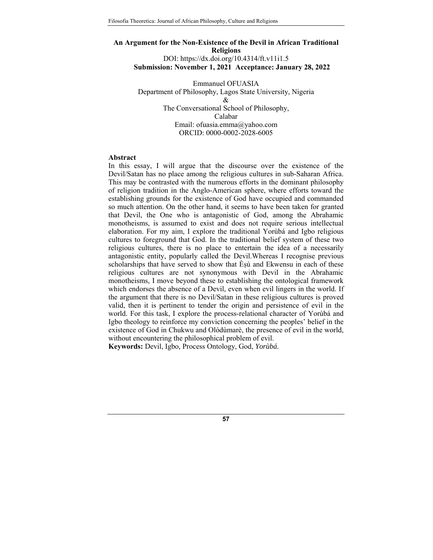# **An Argument for the Non-Existence of the Devil in African Traditional Religions**  DOI: https://dx.doi.org/10.4314/ft.v11i1.5 **Submission: November 1, 2021 Acceptance: January 28, 2022**

Emmanuel OFUASIA Department of Philosophy, Lagos State University, Nigeria  $\mathcal{R}$ The Conversational School of Philosophy, Calabar Email: ofuasia.emma@yahoo.com ORCID: 0000-0002-2028-6005

### **Abstract**

In this essay, I will argue that the discourse over the existence of the Devil/Satan has no place among the religious cultures in sub-Saharan Africa. This may be contrasted with the numerous efforts in the dominant philosophy of religion tradition in the Anglo-American sphere, where efforts toward the establishing grounds for the existence of God have occupied and commanded so much attention. On the other hand, it seems to have been taken for granted that Devil, the One who is antagonistic of God, among the Abrahamic monotheisms, is assumed to exist and does not require serious intellectual elaboration. For my aim, I explore the traditional Yorùbá and Igbo religious cultures to foreground that God. In the traditional belief system of these two religious cultures, there is no place to entertain the idea of a necessarily antagonistic entity, popularly called the Devil.Whereas I recognise previous scholarships that have served to show that Èṣù and Ekwensu in each of these religious cultures are not synonymous with Devil in the Abrahamic monotheisms, I move beyond these to establishing the ontological framework which endorses the absence of a Devil, even when evil lingers in the world. If the argument that there is no Devil/Satan in these religious cultures is proved valid, then it is pertinent to tender the origin and persistence of evil in the world. For this task, I explore the process-relational character of Yorùbá and Igbo theology to reinforce my conviction concerning the peoples' belief in the existence of God in Chukwu and Olódùmarè, the presence of evil in the world, without encountering the philosophical problem of evil.

**Keywords:** Devil, Igbo*,* Process Ontology, God, *Yorùbá.*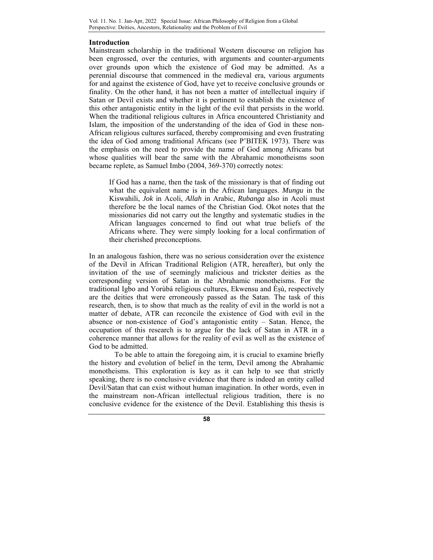### **Introduction**

Mainstream scholarship in the traditional Western discourse on religion has been engrossed, over the centuries, with arguments and counter-arguments over grounds upon which the existence of God may be admitted. As a perennial discourse that commenced in the medieval era, various arguments for and against the existence of God, have yet to receive conclusive grounds or finality. On the other hand, it has not been a matter of intellectual inquiry if Satan or Devil exists and whether it is pertinent to establish the existence of this other antagonistic entity in the light of the evil that persists in the world. When the traditional religious cultures in Africa encountered Christianity and Islam, the imposition of the understanding of the idea of God in these non-African religious cultures surfaced, thereby compromising and even frustrating the idea of God among traditional Africans (see P'BITEK 1973). There was the emphasis on the need to provide the name of God among Africans but whose qualities will bear the same with the Abrahamic monotheisms soon became replete, as Samuel Imbo (2004, 369-370) correctly notes:

If God has a name, then the task of the missionary is that of finding out what the equivalent name is in the African languages. *Mungu* in the Kiswahili, *Jok* in Acoli, *Allah* in Arabic, *Rubanga* also in Acoli must therefore be the local names of the Christian God. Okot notes that the missionaries did not carry out the lengthy and systematic studies in the African languages concerned to find out what true beliefs of the Africans where. They were simply looking for a local confirmation of their cherished preconceptions.

In an analogous fashion, there was no serious consideration over the existence of the Devil in African Traditional Religion (ATR, hereafter), but only the invitation of the use of seemingly malicious and trickster deities as the corresponding version of Satan in the Abrahamic monotheisms. For the traditional Igbo and Yorùbá religious cultures, Ekwensu and Èṣù, respectively are the deities that were erroneously passed as the Satan. The task of this research, then, is to show that much as the reality of evil in the world is not a matter of debate, ATR can reconcile the existence of God with evil in the absence or non-existence of God's antagonistic entity – Satan. Hence, the occupation of this research is to argue for the lack of Satan in ATR in a coherence manner that allows for the reality of evil as well as the existence of God to be admitted.

To be able to attain the foregoing aim, it is crucial to examine briefly the history and evolution of belief in the term, Devil among the Abrahamic monotheisms. This exploration is key as it can help to see that strictly speaking, there is no conclusive evidence that there is indeed an entity called Devil/Satan that can exist without human imagination. In other words, even in the mainstream non-African intellectual religious tradition, there is no conclusive evidence for the existence of the Devil. Establishing this thesis is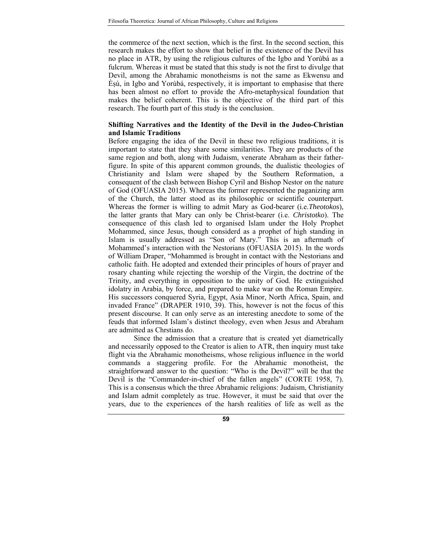the commerce of the next section, which is the first. In the second section, this research makes the effort to show that belief in the existence of the Devil has no place in ATR, by using the religious cultures of the Igbo and Yorùbá as a fulcrum. Whereas it must be stated that this study is not the first to divulge that Devil, among the Abrahamic monotheisms is not the same as Ekwensu and Èṣù, in Igbo and Yorùbá, respectively, it is important to emphasise that there has been almost no effort to provide the Afro-metaphysical foundation that makes the belief coherent. This is the objective of the third part of this research. The fourth part of this study is the conclusion.

### **Shifting Narratives and the Identity of the Devil in the Judeo-Christian and Islamic Traditions**

Before engaging the idea of the Devil in these two religious traditions, it is important to state that they share some similarities. They are products of the same region and both, along with Judaism, venerate Abraham as their fatherfigure. In spite of this apparent common grounds, the dualistic theologies of Christianity and Islam were shaped by the Southern Reformation, a consequent of the clash between Bishop Cyril and Bishop Nestor on the nature of God (OFUASIA 2015). Whereas the former represented the paganizing arm of the Church, the latter stood as its philosophic or scientific counterpart. Whereas the former is willing to admit Mary as God-bearer (i.e.*Theotokos*), the latter grants that Mary can only be Christ-bearer (i.e. *Christotko*). The consequence of this clash led to organised Islam under the Holy Prophet Mohammed, since Jesus, though considerd as a prophet of high standing in Islam is usually addressed as "Son of Mary." This is an aftermath of Mohammed's interaction with the Nestorians (OFUASIA 2015). In the words of William Draper, "Mohammed is brought in contact with the Nestorians and catholic faith. He adopted and extended their principles of hours of prayer and rosary chanting while rejecting the worship of the Virgin, the doctrine of the Trinity, and everything in opposition to the unity of God. He extinguished idolatry in Arabia, by force, and prepared to make war on the Roman Empire. His successors conquered Syria, Egypt, Asia Minor, North Africa, Spain, and invaded France" (DRAPER 1910, 39). This, however is not the focus of this present discourse. It can only serve as an interesting anecdote to some of the feuds that informed Islam's distinct theology, even when Jesus and Abraham are admitted as Chrstians do.

Since the admission that a creature that is created yet diametrically and necessarily opposed to the Creator is alien to ATR, then inquiry must take flight via the Abrahamic monotheisms, whose religious influence in the world commands a staggering profile. For the Abrahamic monotheist, the straightforward answer to the question: "Who is the Devil?" will be that the Devil is the "Commander-in-chief of the fallen angels" (CORTE 1958, 7). This is a consensus which the three Abrahamic religions: Judaism, Christianity and Islam admit completely as true. However, it must be said that over the years, due to the experiences of the harsh realities of life as well as the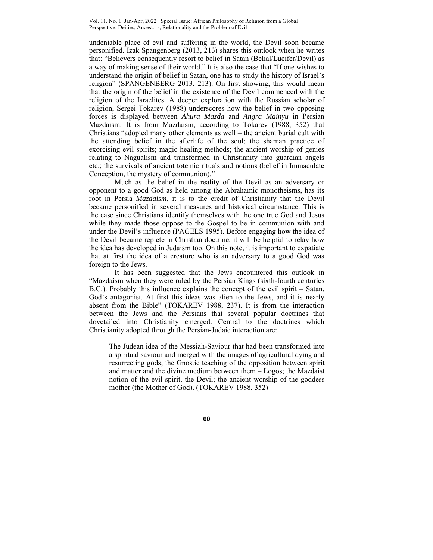undeniable place of evil and suffering in the world, the Devil soon became personified. Izak Spangenberg (2013, 213) shares this outlook when he writes that: "Believers consequently resort to belief in Satan (Belial/Lucifer/Devil) as a way of making sense of their world." It is also the case that "If one wishes to understand the origin of belief in Satan, one has to study the history of Israel's religion" (SPANGENBERG 2013, 213). On first showing, this would mean that the origin of the belief in the existence of the Devil commenced with the religion of the Israelites. A deeper exploration with the Russian scholar of religion, Sergei Tokarev (1988) underscores how the belief in two opposing forces is displayed between *Ahura Mazda* and *Angra Mainyu* in Persian Mazdaism. It is from Mazdaism, according to Tokarev (1988, 352) that Christians "adopted many other elements as well – the ancient burial cult with the attending belief in the afterlife of the soul; the shaman practice of exorcising evil spirits; magic healing methods; the ancient worship of genies relating to Nagualism and transformed in Christianity into guardian angels etc.; the survivals of ancient totemic rituals and notions (belief in Immaculate Conception, the mystery of communion)."

Much as the belief in the reality of the Devil as an adversary or opponent to a good God as held among the Abrahamic monotheisms, has its root in Persia *Mazdaism*, it is to the credit of Christianity that the Devil became personified in several measures and historical circumstance. This is the case since Christians identify themselves with the one true God and Jesus while they made those oppose to the Gospel to be in communion with and under the Devil's influence (PAGELS 1995). Before engaging how the idea of the Devil became replete in Christian doctrine, it will be helpful to relay how the idea has developed in Judaism too. On this note, it is important to expatiate that at first the idea of a creature who is an adversary to a good God was foreign to the Jews.

It has been suggested that the Jews encountered this outlook in "Mazdaism when they were ruled by the Persian Kings (sixth-fourth centuries B.C.). Probably this influence explains the concept of the evil spirit – Satan, God's antagonist. At first this ideas was alien to the Jews, and it is nearly absent from the Bible" (TOKAREV 1988, 237). It is from the interaction between the Jews and the Persians that several popular doctrines that dovetailed into Christianity emerged. Central to the doctrines which Christianity adopted through the Persian-Judaic interaction are:

The Judean idea of the Messiah-Saviour that had been transformed into a spiritual saviour and merged with the images of agricultural dying and resurrecting gods; the Gnostic teaching of the opposition between spirit and matter and the divine medium between them – Logos; the Mazdaist notion of the evil spirit, the Devil; the ancient worship of the goddess mother (the Mother of God). (TOKAREV 1988, 352)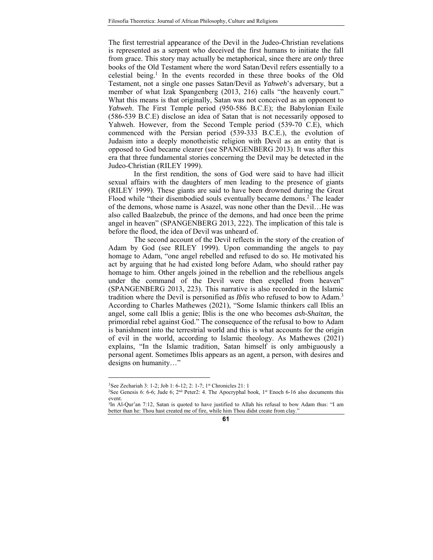The first terrestrial appearance of the Devil in the Judeo-Christian revelations is represented as a serpent who deceived the first humans to initiate the fall from grace. This story may actually be metaphorical, since there are *only* three books of the Old Testament where the word Satan/Devil refers essentially to a celestial being.1 In the events recorded in these three books of the Old Testament, not a single one passes Satan/Devil as *Yahweh*'s adversary, but a member of what Izak Spangenberg (2013, 216) calls "the heavenly court." What this means is that originally, Satan was not conceived as an opponent to *Yahweh*. The First Temple period (950-586 B.C.E); the Babylonian Exile (586-539 B.C.E) disclose an idea of Satan that is not necessarily opposed to Yahweh. However, from the Second Temple period (539-70 C.E), which commenced with the Persian period (539-333 B.C.E.), the evolution of Judaism into a deeply monotheistic religion with Devil as an entity that is opposed to God became clearer (see SPANGENBERG 2013). It was after this era that three fundamental stories concerning the Devil may be detected in the Judeo-Christian (RILEY 1999).

In the first rendition, the sons of God were said to have had illicit sexual affairs with the daughters of men leading to the presence of giants (RILEY 1999). These giants are said to have been drowned during the Great Flood while "their disembodied souls eventually became demons.<sup>2</sup> The leader of the demons, whose name is Asazel, was none other than the Devil…He was also called Baalzebub, the prince of the demons, and had once been the prime angel in heaven" (SPANGENBERG 2013, 222). The implication of this tale is before the flood, the idea of Devil was unheard of.

The second account of the Devil reflects in the story of the creation of Adam by God (see RILEY 1999). Upon commanding the angels to pay homage to Adam, "one angel rebelled and refused to do so. He motivated his act by arguing that he had existed long before Adam, who should rather pay homage to him. Other angels joined in the rebellion and the rebellious angels under the command of the Devil were then expelled from heaven" (SPANGENBERG 2013, 223). This narrative is also recorded in the Islamic tradition where the Devil is personified as *Iblis* who refused to bow to Adam.3 According to Charles Mathewes (2021), "Some Islamic thinkers call Iblis an angel, some call Iblis a genie; Iblis is the one who becomes *ash-Shaitan,* the primordial rebel against God." The consequence of the refusal to bow to Adam is banishment into the terrestrial world and this is what accounts for the origin of evil in the world, according to Islamic theology. As Mathewes (2021) explains, "In the Islamic tradition, Satan himself is only ambiguously a personal agent. Sometimes Iblis appears as an agent, a person, with desires and designs on humanity…"

<u>.</u>

<sup>&</sup>lt;sup>1</sup>See Zechariah 3: 1-2; Job 1: 6-12; 2: 1-7; 1<sup>st</sup> Chronicles 21: 1

<sup>&</sup>lt;sup>2</sup>See Genesis 6: 6-6; Jude 6; 2<sup>nd</sup> Peter2: 4. The Apocryphal book, 1<sup>st</sup> Enoch 6-16 also documents this event.

<sup>&</sup>lt;sup>3</sup>In Al-Qur'an 7:12, Satan is quoted to have justified to Allah his refusal to bow Adam thus: "I am better than he: Thou hast created me of fire, while him Thou didst create from clay."

**<sup>61</sup>**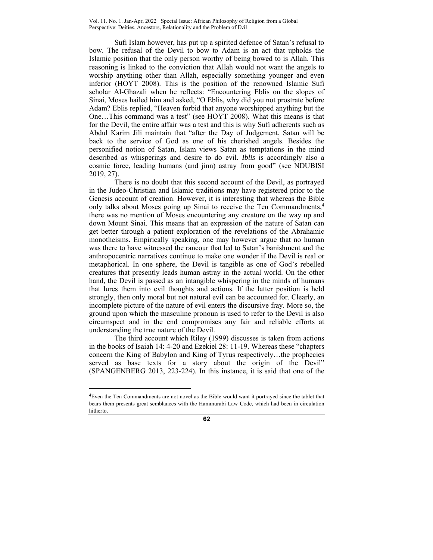Sufi Islam however, has put up a spirited defence of Satan's refusal to bow. The refusal of the Devil to bow to Adam is an act that upholds the Islamic position that the only person worthy of being bowed to is Allah. This reasoning is linked to the conviction that Allah would not want the angels to worship anything other than Allah, especially something younger and even inferior (HOYT 2008). This is the position of the renowned Islamic Sufi scholar Al-Ghazali when he reflects: "Encountering Eblis on the slopes of Sinai, Moses hailed him and asked, "O Eblis, why did you not prostrate before Adam? Eblis replied, "Heaven forbid that anyone worshipped anything but the One…This command was a test" (see HOYT 2008). What this means is that for the Devil, the entire affair was a test and this is why Sufi adherents such as Abdul Karim Jili maintain that "after the Day of Judgement, Satan will be back to the service of God as one of his cherished angels. Besides the personified notion of Satan, Islam views Satan as temptations in the mind described as whisperings and desire to do evil. *Iblis* is accordingly also a cosmic force, leading humans (and jinn) astray from good" (see NDUBISI 2019, 27).

There is no doubt that this second account of the Devil, as portrayed in the Judeo-Christian and Islamic traditions may have registered prior to the Genesis account of creation. However, it is interesting that whereas the Bible only talks about Moses going up Sinai to receive the Ten Commandments,<sup>4</sup> there was no mention of Moses encountering any creature on the way up and down Mount Sinai. This means that an expression of the nature of Satan can get better through a patient exploration of the revelations of the Abrahamic monotheisms. Empirically speaking, one may however argue that no human was there to have witnessed the rancour that led to Satan's banishment and the anthropocentric narratives continue to make one wonder if the Devil is real or metaphorical. In one sphere, the Devil is tangible as one of God's rebelled creatures that presently leads human astray in the actual world. On the other hand, the Devil is passed as an intangible whispering in the minds of humans that lures them into evil thoughts and actions. If the latter position is held strongly, then only moral but not natural evil can be accounted for. Clearly, an incomplete picture of the nature of evil enters the discursive fray. More so, the ground upon which the masculine pronoun is used to refer to the Devil is also circumspect and in the end compromises any fair and reliable efforts at understanding the true nature of the Devil.

The third account which Riley (1999) discusses is taken from actions in the books of Isaiah 14: 4-20 and Ezekiel 28: 11-19. Whereas these "chapters concern the King of Babylon and King of Tyrus respectively…the prophecies served as base texts for a story about the origin of the Devil" (SPANGENBERG 2013, 223-224). In this instance, it is said that one of the

 $\overline{a}$ 

<sup>4</sup>Even the Ten Commandments are not novel as the Bible would want it portrayed since the tablet that bears them presents great semblances with the Hammurabi Law Code, which had been in circulation hitherto.

**<sup>62</sup>**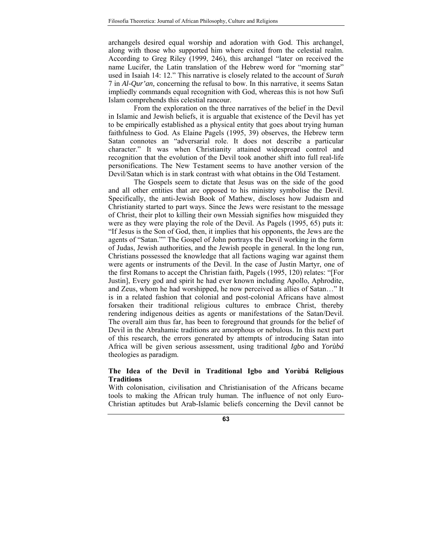archangels desired equal worship and adoration with God. This archangel, along with those who supported him where exited from the celestial realm. According to Greg Riley (1999, 246), this archangel "later on received the name Lucifer, the Latin translation of the Hebrew word for "morning star" used in Isaiah 14: 12." This narrative is closely related to the account of *Surah* 7 in *Al-Qur'an,* concerning the refusal to bow. In this narrative, it seems Satan impliedly commands equal recognition with God, whereas this is not how Sufi Islam comprehends this celestial rancour.

From the exploration on the three narratives of the belief in the Devil in Islamic and Jewish beliefs, it is arguable that existence of the Devil has yet to be empirically established as a physical entity that goes about trying human faithfulness to God. As Elaine Pagels (1995, 39) observes, the Hebrew term Satan connotes an "adversarial role. It does not describe a particular character." It was when Christianity attained widespread control and recognition that the evolution of the Devil took another shift into full real-life personifications. The New Testament seems to have another version of the Devil/Satan which is in stark contrast with what obtains in the Old Testament.

The Gospels seem to dictate that Jesus was on the side of the good and all other entities that are opposed to his ministry symbolise the Devil. Specifically, the anti-Jewish Book of Mathew, discloses how Judaism and Christianity started to part ways. Since the Jews were resistant to the message of Christ, their plot to killing their own Messiah signifies how misguided they were as they were playing the role of the Devil. As Pagels (1995, 65) puts it: "If Jesus is the Son of God, then, it implies that his opponents, the Jews are the agents of "Satan."" The Gospel of John portrays the Devil working in the form of Judas, Jewish authorities, and the Jewish people in general. In the long run, Christians possessed the knowledge that all factions waging war against them were agents or instruments of the Devil. In the case of Justin Martyr, one of the first Romans to accept the Christian faith, Pagels (1995, 120) relates: "[For Justin], Every god and spirit he had ever known including Apollo, Aphrodite, and Zeus, whom he had worshipped, he now perceived as allies of Satan…" It is in a related fashion that colonial and post-colonial Africans have almost forsaken their traditional religious cultures to embrace Christ, thereby rendering indigenous deities as agents or manifestations of the Satan/Devil. The overall aim thus far, has been to foreground that grounds for the belief of Devil in the Abrahamic traditions are amorphous or nebulous. In this next part of this research, the errors generated by attempts of introducing Satan into Africa will be given serious assessment, using traditional *Igbo* and *Yorùbá*  theologies as paradigm.

# **The Idea of the Devil in Traditional Igbo and Yorùbá Religious Traditions**

With colonisation, civilisation and Christianisation of the Africans became tools to making the African truly human. The influence of not only Euro-Christian aptitudes but Arab-Islamic beliefs concerning the Devil cannot be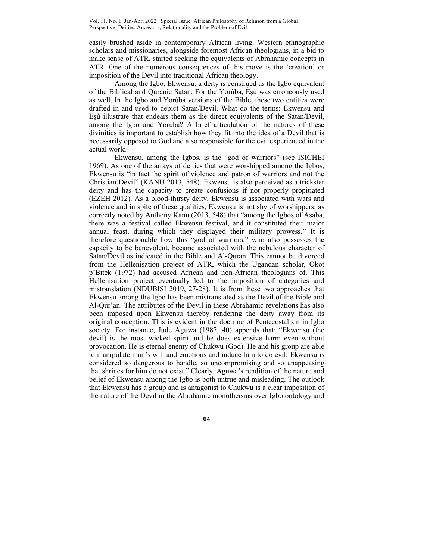easily brushed aside in contemporary African living. Western ethnographic scholars and missionaries, alongside foremost African theologians, in a bid to make sense of ATR, started seeking the equivalents of Abrahamic concepts in ATR. One of the numerous consequences of this move is the 'creation' or imposition of the Devil into traditional African theology.

 Among the Igbo, Ekwensu, a deity is construed as the Igbo equivalent of the Biblical and Quranic Satan. For the Yorùbá, Èṣù was erroneously used as well. In the Igbo and Yorùbá versions of the Bible, these two entities were drafted in and used to depict Satan/Devil. What do the terms: Ekwensu and Èṣù illustrate that endears them as the direct equivalents of the Satan/Devil, among the Igbo and Yorùbá? A brief articulation of the natures of these divinities is important to establish how they fit into the idea of a Devil that is necessarily opposed to God and also responsible for the evil experienced in the actual world.

Ekwensu, among the Igbos, is the "god of warriors" (see ISICHEI 1969). As one of the arrays of deities that were worshipped among the Igbos, Ekwensu is "in fact the spirit of violence and patron of warriors and not the Christian Devil" (KANU 2013, 548). Ekwensu is also perceived as a trickster deity and has the capacity to create confusions if not properly propitiated (EZEH 2012). As a blood-thirsty deity, Ekwensu is associated with wars and violence and in spite of these qualities, Ekwensu is not shy of worshippers, as correctly noted by Anthony Kanu (2013, 548) that "among the Igbos of Asaba, there was a festival called Ekwensu festival, and it constituted their major annual feast, during which they displayed their military prowess." It is therefore questionable how this "god of warriors," who also possesses the capacity to be benevolent, became associated with the nebulous character of Satan/Devil as indicated in the Bible and Al-Quran. This cannot be divorced from the Hellenisation project of ATR, which the Ugandan scholar, Okot p'Bitek (1972) had accused African and non-African theologians of. This Hellenisation project eventually led to the imposition of categories and mistranslation (NDUBISI 2019, 27-28). It is from these two approaches that Ekwensu among the Igbo has been mistranslated as the Devil of the Bible and Al-Qur'an. The attributes of the Devil in these Abrahamic revelations has also been imposed upon Ekwensu thereby rendering the deity away from its original conception. This is evident in the doctrine of Pentecostalism in Igbo society. For instance, Jude Aguwa (1987, 40) appends that: "Ekwensu (the devil) is the most wicked spirit and he does extensive harm even without provocation. He is eternal enemy of Chukwu (God). He and his group are able to manipulate man's will and emotions and induce him to do evil. Ekwensu is considered so dangerous to handle, so uncompromising and so unappeasing that shrines for him do not exist." Clearly, Aguwa's rendition of the nature and belief of Ekwensu among the Igbo is both untrue and misleading. The outlook that Ekwensu has a group and is antagonist to Chukwu is a clear imposition of the nature of the Devil in the Abrahamic monotheisms over Igbo ontology and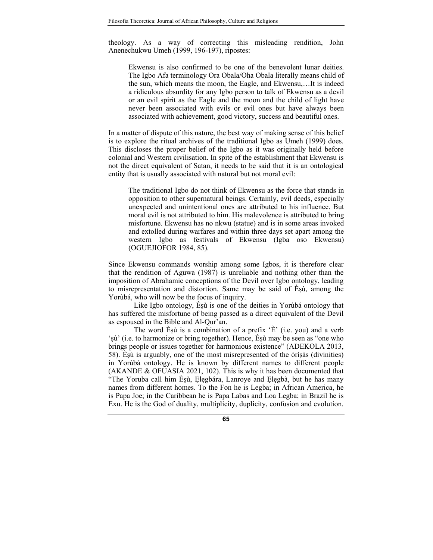theology. As a way of correcting this misleading rendition, John Anenechukwu Umeh (1999, 196-197), ripostes:

Ekwensu is also confirmed to be one of the benevolent lunar deities. The Igbo Afa terminology Ora Obala/Oha Obala literally means child of the sun, which means the moon, the Eagle, and Ekwensu,…It is indeed a ridiculous absurdity for any Igbo person to talk of Ekwensu as a devil or an evil spirit as the Eagle and the moon and the child of light have never been associated with evils or evil ones but have always been associated with achievement, good victory, success and beautiful ones.

In a matter of dispute of this nature, the best way of making sense of this belief is to explore the ritual archives of the traditional Igbo as Umeh (1999) does. This discloses the proper belief of the Igbo as it was originally held before colonial and Western civilisation. In spite of the establishment that Ekwensu is not the direct equivalent of Satan, it needs to be said that it is an ontological entity that is usually associated with natural but not moral evil:

The traditional Igbo do not think of Ekwensu as the force that stands in opposition to other supernatural beings. Certainly, evil deeds, especially unexpected and unintentional ones are attributed to his influence. But moral evil is not attributed to him. His malevolence is attributed to bring misfortune. Ekwensu has no nkwu (statue) and is in some areas invoked and extolled during warfares and within three days set apart among the western Igbo as festivals of Ekwensu (Igba oso Ekwensu) (OGUEJIOFOR 1984, 85).

Since Ekwensu commands worship among some Igbos, it is therefore clear that the rendition of Aguwa (1987) is unreliable and nothing other than the imposition of Abrahamic conceptions of the Devil over Igbo ontology, leading to misrepresentation and distortion. Same may be said of Èṣù, among the Yorùbá, who will now be the focus of inquiry.

Like Igbo ontology, Èṣù is one of the deities in Yorùbá ontology that has suffered the misfortune of being passed as a direct equivalent of the Devil as espoused in the Bible and Al-Qur'an.

The word  $\hat{E}$ sù is a combination of a prefix  $\hat{E}'$  (i.e. you) and a verb 'ṣù' (i.e. to harmonize or bring together). Hence, Èṣù may be seen as "one who brings people or issues together for harmonious existence" (ADEKOLA 2013, 58). Èṣù is arguably, one of the most misrepresented of the òrìṣàs (divinities) in Yorùbá ontology. He is known by different names to different people (AKANDE & OFUASIA 2021, 102). This is why it has been documented that "The Yoruba call him Èṣù, Ẹlẹgbára, Lanroye and Ẹlẹgbà, but he has many names from different homes. To the Fon he is Legba; in African America, he is Papa Joe; in the Caribbean he is Papa Labas and Loa Legba; in Brazil he is Exu. He is the God of duality, multiplicity, duplicity, confusion and evolution.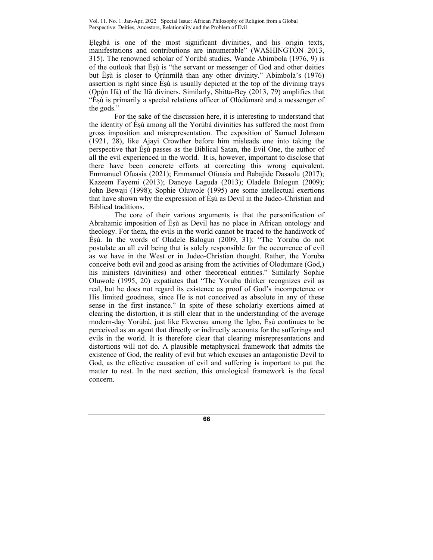Elegbà is one of the most significant divinities, and his origin texts, manifestations and contributions are innumerable" (WASHINGTON 2013, 315). The renowned scholar of Yorùbá studies, Wande Abimbola (1976, 9) is of the outlook that Èṣù is "the servant or messenger of God and other deities but Èsù is closer to Òrúnmìlà than any other divinity." Abimbola's  $(1976)$ assertion is right since Esù is usually depicted at the top of the divining trays (Qpón Ifá) of the Ifá diviners. Similarly, Shitta-Bey (2013, 79) amplifies that "Èṣù is primarily a special relations officer of Olódùmarè and a messenger of the gods."

For the sake of the discussion here, it is interesting to understand that the identity of Èṣù among all the Yorùbá divinities has suffered the most from gross imposition and misrepresentation. The exposition of Samuel Johnson (1921, 28), like Ajayi Crowther before him misleads one into taking the perspective that Èṣù passes as the Biblical Satan, the Evil One, the author of all the evil experienced in the world. It is, however, important to disclose that there have been concrete efforts at correcting this wrong equivalent. Emmanuel Ofuasia (2021); Emmanuel Ofuasia and Babajide Dasaolu (2017); Kazeem Fayemi (2013); Danoye Laguda (2013); Oladele Balogun (2009); John Bewaji (1998); Sophie Oluwole (1995) are some intellectual exertions that have shown why the expression of Èṣù as Devil in the Judeo-Christian and Biblical traditions.

The core of their various arguments is that the personification of Abrahamic imposition of Èṣù as Devil has no place in African ontology and theology. For them, the evils in the world cannot be traced to the handiwork of Èṣù. In the words of Oladele Balogun (2009, 31): "The Yoruba do not postulate an all evil being that is solely responsible for the occurrence of evil as we have in the West or in Judeo-Christian thought. Rather, the Yoruba conceive both evil and good as arising from the activities of Olodumare (God,) his ministers (divinities) and other theoretical entities." Similarly Sophie Oluwole (1995, 20) expatiates that "The Yoruba thinker recognizes evil as real, but he does not regard its existence as proof of God's incompetence or His limited goodness, since He is not conceived as absolute in any of these sense in the first instance." In spite of these scholarly exertions aimed at clearing the distortion, it is still clear that in the understanding of the average modern-day Yorùbá, just like Ekwensu among the Igbo, Èṣù continues to be perceived as an agent that directly or indirectly accounts for the sufferings and evils in the world. It is therefore clear that clearing misrepresentations and distortions will not do. A plausible metaphysical framework that admits the existence of God, the reality of evil but which excuses an antagonistic Devil to God, as the effective causation of evil and suffering is important to put the matter to rest. In the next section, this ontological framework is the focal concern.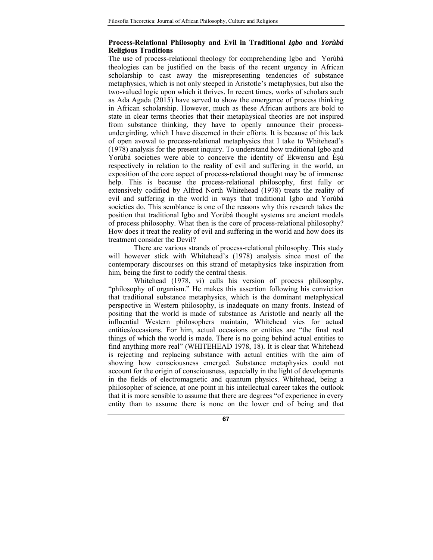## **Process-Relational Philosophy and Evil in Traditional** *Igbo* **and** *Yorùbá* **Religious Traditions**

The use of process-relational theology for comprehending Igbo and Yorùbá theologies can be justified on the basis of the recent urgency in African scholarship to cast away the misrepresenting tendencies of substance metaphysics, which is not only steeped in Aristotle's metaphysics, but also the two-valued logic upon which it thrives. In recent times, works of scholars such as Ada Agada (2015) have served to show the emergence of process thinking in African scholarship. However, much as these African authors are bold to state in clear terms theories that their metaphysical theories are not inspired from substance thinking, they have to openly announce their processundergirding, which I have discerned in their efforts. It is because of this lack of open avowal to process-relational metaphysics that I take to Whitehead's (1978) analysis for the present inquiry. To understand how traditional Igbo and Yorùbá societies were able to conceive the identity of Ekwensu and Èsù respectively in relation to the reality of evil and suffering in the world, an exposition of the core aspect of process-relational thought may be of immense help. This is because the process-relational philosophy, first fully or extensively codified by Alfred North Whitehead (1978) treats the reality of evil and suffering in the world in ways that traditional Igbo and Yorùbá societies do. This semblance is one of the reasons why this research takes the position that traditional Igbo and Yorùbá thought systems are ancient models of process philosophy. What then is the core of process-relational philosophy? How does it treat the reality of evil and suffering in the world and how does its treatment consider the Devil?

There are various strands of process-relational philosophy. This study will however stick with Whitehead's (1978) analysis since most of the contemporary discourses on this strand of metaphysics take inspiration from him, being the first to codify the central thesis.

Whitehead (1978, vi) calls his version of process philosophy, "philosophy of organism." He makes this assertion following his conviction that traditional substance metaphysics, which is the dominant metaphysical perspective in Western philosophy, is inadequate on many fronts. Instead of positing that the world is made of substance as Aristotle and nearly all the influential Western philosophers maintain, Whitehead vies for actual entities/occasions. For him, actual occasions or entities are "the final real things of which the world is made. There is no going behind actual entities to find anything more real" (WHITEHEAD 1978, 18). It is clear that Whitehead is rejecting and replacing substance with actual entities with the aim of showing how consciousness emerged. Substance metaphysics could not account for the origin of consciousness, especially in the light of developments in the fields of electromagnetic and quantum physics. Whitehead, being a philosopher of science, at one point in his intellectual career takes the outlook that it is more sensible to assume that there are degrees "of experience in every entity than to assume there is none on the lower end of being and that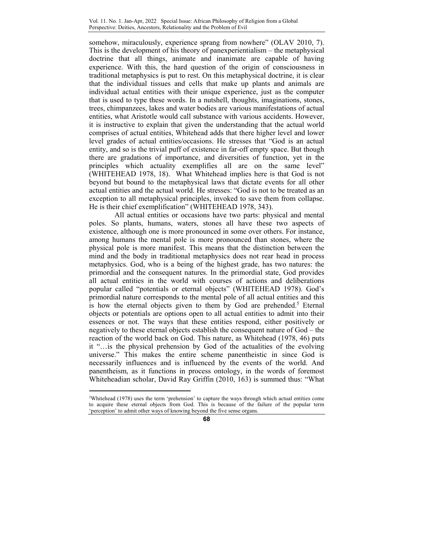somehow, miraculously, experience sprang from nowhere" (OLAV 2010, 7). This is the development of his theory of panexperientialism – the metaphysical doctrine that all things, animate and inanimate are capable of having experience. With this, the hard question of the origin of consciousness in traditional metaphysics is put to rest. On this metaphysical doctrine, it is clear that the individual tissues and cells that make up plants and animals are individual actual entities with their unique experience, just as the computer that is used to type these words. In a nutshell, thoughts, imaginations, stones, trees, chimpanzees, lakes and water bodies are various manifestations of actual entities, what Aristotle would call substance with various accidents. However, it is instructive to explain that given the understanding that the actual world comprises of actual entities, Whitehead adds that there higher level and lower level grades of actual entities/occasions. He stresses that "God is an actual entity, and so is the trivial puff of existence in far-off empty space. But though there are gradations of importance, and diversities of function, yet in the principles which actuality exemplifies all are on the same level" (WHITEHEAD 1978, 18). What Whitehead implies here is that God is not beyond but bound to the metaphysical laws that dictate events for all other actual entities and the actual world. He stresses: "God is not to be treated as an exception to all metaphysical principles, invoked to save them from collapse. He is their chief exemplification" (WHITEHEAD 1978, 343).

All actual entities or occasions have two parts: physical and mental poles. So plants, humans, waters, stones all have these two aspects of existence, although one is more pronounced in some over others. For instance, among humans the mental pole is more pronounced than stones, where the physical pole is more manifest. This means that the distinction between the mind and the body in traditional metaphysics does not rear head in process metaphysics. God, who is a being of the highest grade, has two natures: the primordial and the consequent natures. In the primordial state, God provides all actual entities in the world with courses of actions and deliberations popular called "potentials or eternal objects" (WHITEHEAD 1978). God's primordial nature corresponds to the mental pole of all actual entities and this is how the eternal objects given to them by God are prehended.<sup>5</sup> Eternal objects or potentials are options open to all actual entities to admit into their essences or not. The ways that these entities respond, either positively or negatively to these eternal objects establish the consequent nature of God – the reaction of the world back on God. This nature, as Whitehead (1978, 46) puts it "…is the physical prehension by God of the actualities of the evolving universe." This makes the entire scheme panentheistic in since God is necessarily influences and is influenced by the events of the world. And panentheism, as it functions in process ontology, in the words of foremost Whiteheadian scholar, David Ray Griffin (2010, 163) is summed thus: "What

 $\overline{a}$ 

<sup>5</sup>Whitehead (1978) uses the term 'prehension' to capture the ways through which actual entities come to acquire these eternal objects from God. This is because of the failure of the popular term 'perception' to admit other ways of knowing beyond the five sense organs.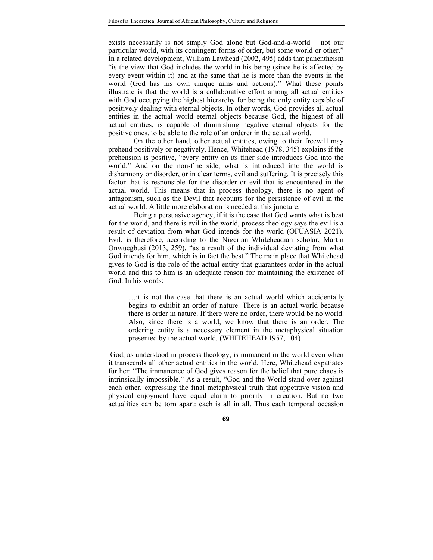exists necessarily is not simply God alone but God-and-a-world – not our particular world, with its contingent forms of order, but some world or other." In a related development, William Lawhead (2002, 495) adds that panentheism "is the view that God includes the world in his being (since he is affected by every event within it) and at the same that he is more than the events in the world (God has his own unique aims and actions)." What these points illustrate is that the world is a collaborative effort among all actual entities with God occupying the highest hierarchy for being the only entity capable of positively dealing with eternal objects. In other words, God provides all actual entities in the actual world eternal objects because God, the highest of all actual entities, is capable of diminishing negative eternal objects for the positive ones, to be able to the role of an orderer in the actual world.

On the other hand, other actual entities, owing to their freewill may prehend positively or negatively. Hence, Whitehead (1978, 345) explains if the prehension is positive, "every entity on its finer side introduces God into the world." And on the non-fine side, what is introduced into the world is disharmony or disorder, or in clear terms, evil and suffering. It is precisely this factor that is responsible for the disorder or evil that is encountered in the actual world. This means that in process theology, there is no agent of antagonism, such as the Devil that accounts for the persistence of evil in the actual world. A little more elaboration is needed at this juncture.

Being a persuasive agency, if it is the case that God wants what is best for the world, and there is evil in the world, process theology says the evil is a result of deviation from what God intends for the world (OFUASIA 2021). Evil, is therefore, according to the Nigerian Whiteheadian scholar, Martin Onwuegbusi (2013, 259), "as a result of the individual deviating from what God intends for him, which is in fact the best." The main place that Whitehead gives to God is the role of the actual entity that guarantees order in the actual world and this to him is an adequate reason for maintaining the existence of God. In his words:

…it is not the case that there is an actual world which accidentally begins to exhibit an order of nature. There is an actual world because there is order in nature. If there were no order, there would be no world. Also, since there is a world, we know that there is an order. The ordering entity is a necessary element in the metaphysical situation presented by the actual world. (WHITEHEAD 1957, 104)

 God, as understood in process theology, is immanent in the world even when it transcends all other actual entities in the world. Here, Whitehead expatiates further: "The immanence of God gives reason for the belief that pure chaos is intrinsically impossible." As a result, "God and the World stand over against each other, expressing the final metaphysical truth that appetitive vision and physical enjoyment have equal claim to priority in creation. But no two actualities can be torn apart: each is all in all. Thus each temporal occasion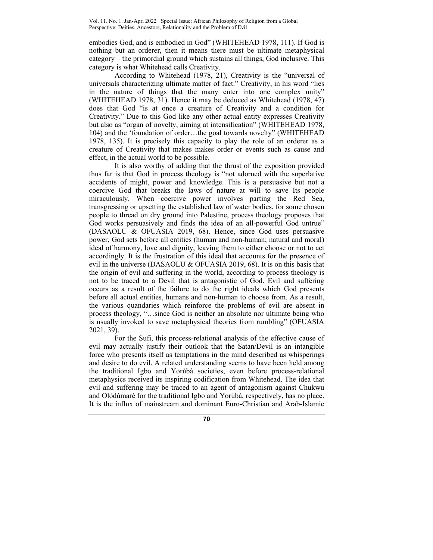embodies God, and is embodied in God" (WHITEHEAD 1978, 111). If God is nothing but an orderer, then it means there must be ultimate metaphysical category – the primordial ground which sustains all things, God inclusive. This category is what Whitehead calls Creativity.

According to Whitehead (1978, 21), Creativity is the "universal of universals characterizing ultimate matter of fact." Creativity, in his word "lies in the nature of things that the many enter into one complex unity" (WHITEHEAD 1978, 31). Hence it may be deduced as Whitehead (1978, 47) does that God "is at once a creature of Creativity and a condition for Creativity." Due to this God like any other actual entity expresses Creativity but also as "organ of novelty, aiming at intensification" (WHITEHEAD 1978, 104) and the 'foundation of order…the goal towards novelty" (WHITEHEAD 1978, 135). It is precisely this capacity to play the role of an orderer as a creature of Creativity that makes makes order or events such as cause and effect, in the actual world to be possible.

It is also worthy of adding that the thrust of the exposition provided thus far is that God in process theology is "not adorned with the superlative accidents of might, power and knowledge. This is a persuasive but not a coercive God that breaks the laws of nature at will to save Its people miraculously. When coercive power involves parting the Red Sea, transgressing or upsetting the established law of water bodies, for some chosen people to thread on dry ground into Palestine, process theology proposes that God works persuasively and finds the idea of an all-powerful God untrue" (DASAOLU & OFUASIA 2019, 68). Hence, since God uses persuasive power, God sets before all entities (human and non-human; natural and moral) ideal of harmony, love and dignity, leaving them to either choose or not to act accordingly. It is the frustration of this ideal that accounts for the presence of evil in the universe (DASAOLU & OFUASIA 2019, 68). It is on this basis that the origin of evil and suffering in the world, according to process theology is not to be traced to a Devil that is antagonistic of God. Evil and suffering occurs as a result of the failure to do the right ideals which God presents before all actual entities, humans and non-human to choose from. As a result, the various quandaries which reinforce the problems of evil are absent in process theology, "…since God is neither an absolute nor ultimate being who is usually invoked to save metaphysical theories from rumbling" (OFUASIA 2021, 39).

For the Sufi, this process-relational analysis of the effective cause of evil may actually justify their outlook that the Satan/Devil is an intangible force who presents itself as temptations in the mind described as whisperings and desire to do evil. A related understanding seems to have been held among the traditional Igbo and Yorùbá societies, even before process-relational metaphysics received its inspiring codification from Whitehead. The idea that evil and suffering may be traced to an agent of antagonism against Chukwu and Olódùmarè for the traditional Igbo and Yorùbá, respectively, has no place. It is the influx of mainstream and dominant Euro-Christian and Arab-Islamic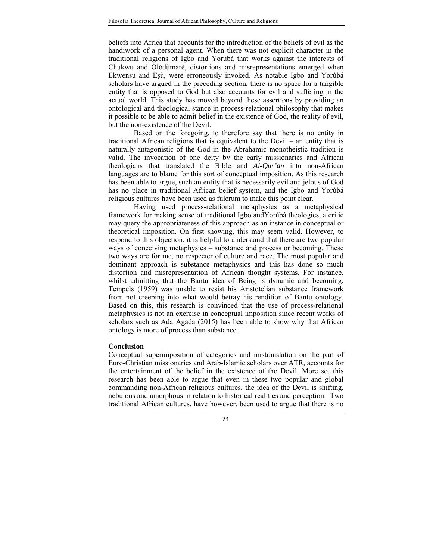beliefs into Africa that accounts for the introduction of the beliefs of evil as the handiwork of a personal agent. When there was not explicit character in the traditional religions of Igbo and Yorùbá that works against the interests of Chukwu and Olódùmarè, distortions and misrepresentations emerged when Ekwensu and Èṣù, were erroneously invoked. As notable Igbo and Yorùbá scholars have argued in the preceding section, there is no space for a tangible entity that is opposed to God but also accounts for evil and suffering in the actual world. This study has moved beyond these assertions by providing an ontological and theological stance in process-relational philosophy that makes it possible to be able to admit belief in the existence of God, the reality of evil, but the non-existence of the Devil.

Based on the foregoing, to therefore say that there is no entity in traditional African religions that is equivalent to the Devil – an entity that is naturally antagonistic of the God in the Abrahamic monotheistic tradition is valid. The invocation of one deity by the early missionaries and African theologians that translated the Bible and *Al-Qur'an* into non-African languages are to blame for this sort of conceptual imposition. As this research has been able to argue, such an entity that is necessarily evil and jelous of God has no place in traditional African belief system, and the Igbo and Yorùbá religious cultures have been used as fulcrum to make this point clear.

Having used process-relational metaphysics as a metaphysical framework for making sense of traditional Igbo andYorùbá theologies, a critic may query the appropriateness of this approach as an instance in conceptual or theoretical imposition. On first showing, this may seem valid. However, to respond to this objection, it is helpful to understand that there are two popular ways of conceiving metaphysics – substance and process or becoming. These two ways are for me, no respecter of culture and race. The most popular and dominant approach is substance metaphysics and this has done so much distortion and misrepresentation of African thought systems. For instance, whilst admitting that the Bantu idea of Being is dynamic and becoming, Tempels (1959) was unable to resist his Aristotelian substance framework from not creeping into what would betray his rendition of Bantu ontology. Based on this, this research is convinced that the use of process-relational metaphysics is not an exercise in conceptual imposition since recent works of scholars such as Ada Agada (2015) has been able to show why that African ontology is more of process than substance.

#### **Conclusion**

Conceptual superimposition of categories and mistranslation on the part of Euro-Christian missionaries and Arab-Islamic scholars over ATR, accounts for the entertainment of the belief in the existence of the Devil. More so, this research has been able to argue that even in these two popular and global commanding non-African religious cultures, the idea of the Devil is shifting, nebulous and amorphous in relation to historical realities and perception. Two traditional African cultures, have however, been used to argue that there is no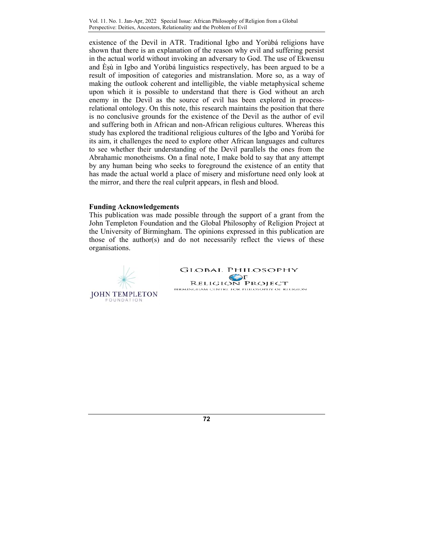Vol. 11. No. 1. Jan-Apr, 2022 Special Issue: African Philosophy of Religion from a Global Perspective: Deities, Ancestors, Relationality and the Problem of Evil

existence of the Devil in ATR. Traditional Igbo and Yorùbá religions have shown that there is an explanation of the reason why evil and suffering persist in the actual world without invoking an adversary to God. The use of Ekwensu and Èṣù in Igbo and Yorùbá linguistics respectively, has been argued to be a result of imposition of categories and mistranslation. More so, as a way of making the outlook coherent and intelligible, the viable metaphysical scheme upon which it is possible to understand that there is God without an arch enemy in the Devil as the source of evil has been explored in processrelational ontology. On this note, this research maintains the position that there is no conclusive grounds for the existence of the Devil as the author of evil and suffering both in African and non-African religious cultures. Whereas this study has explored the traditional religious cultures of the Igbo and Yorùbá for its aim, it challenges the need to explore other African languages and cultures to see whether their understanding of the Devil parallels the ones from the Abrahamic monotheisms. On a final note, I make bold to say that any attempt by any human being who seeks to foreground the existence of an entity that has made the actual world a place of misery and misfortune need only look at the mirror, and there the real culprit appears, in flesh and blood.

#### **Funding Acknowledgements**

This publication was made possible through the support of a grant from the John Templeton Foundation and the Global Philosophy of Religion Project at the University of Birmingham. The opinions expressed in this publication are those of the author(s) and do not necessarily reflect the views of these organisations.



**GLOBAL PHILOSOPHY**  $\mathbf{P}$ **RELIGION PROJECT** BIRMINGHAM CENTRE FOR PHILOSOPHY OF RELIGION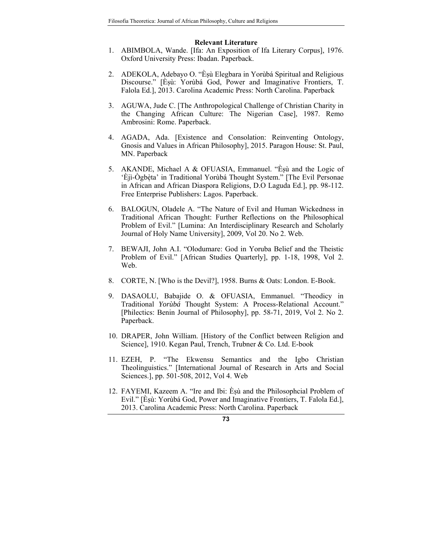#### **Relevant Literature**

- 1. ABIMBOLA, Wande. [Ifa: An Exposition of Ifa Literary Corpus], 1976. Oxford University Press: Ibadan. Paperback.
- 2. ADEKOLA, Adebayo O. "Èṣù Elegbara in Yorùbá Spiritual and Religious Discourse." [Èṣù: Yorùbá God, Power and Imaginative Frontiers, T. Falola Ed.], 2013. Carolina Academic Press: North Carolina. Paperback
- 3. AGUWA, Jude C. [The Anthropological Challenge of Christian Charity in the Changing African Culture: The Nigerian Case], 1987. Remo Ambrosini: Rome. Paperback.
- 4. AGADA, Ada. [Existence and Consolation: Reinventing Ontology, Gnosis and Values in African Philosophy], 2015. Paragon House: St. Paul, MN. Paperback
- 5. AKANDE, Michael A & OFUASIA, Emmanuel. "Èsù and the Logic of 'Èjì-Ògbèta' in Traditional Yorùbá Thought System." [The Evil Personae in African and African Diaspora Religions, D.O Laguda Ed.], pp. 98-112. Free Enterprise Publishers: Lagos. Paperback.
- 6. BALOGUN, Oladele A. "The Nature of Evil and Human Wickedness in Traditional African Thought: Further Reflections on the Philosophical Problem of Evil." [Lumina: An Interdisciplinary Research and Scholarly Journal of Holy Name University], 2009, Vol 20. No 2. Web.
- 7. BEWAJI, John A.I. "Olodumare: God in Yoruba Belief and the Theistic Problem of Evil." [African Studies Quarterly], pp. 1-18, 1998, Vol 2. Web.
- 8. CORTE, N. [Who is the Devil?], 1958. Burns & Oats: London. E-Book.
- 9. DASAOLU, Babajide O. & OFUASIA, Emmanuel. "Theodicy in Traditional *Yorùbá* Thought System: A Process-Relational Account." [Philectics: Benin Journal of Philosophy], pp. 58-71, 2019, Vol 2. No 2. Paperback.
- 10. DRAPER, John William. [History of the Conflict between Religion and Science], 1910. Kegan Paul, Trench, Trubner & Co. Ltd. E-book
- 11. EZEH, P. "The Ekwensu Semantics and the Igbo Christian Theolinguistics." [International Journal of Research in Arts and Social Sciences.], pp. 501-508, 2012, Vol 4. Web
- 12. FAYEMI, Kazeem A. "Ire and Ibi: Èṣù and the Philosophcial Problem of Evil." [Èṣù: Yorùbá God, Power and Imaginative Frontiers, T. Falola Ed.], 2013. Carolina Academic Press: North Carolina. Paperback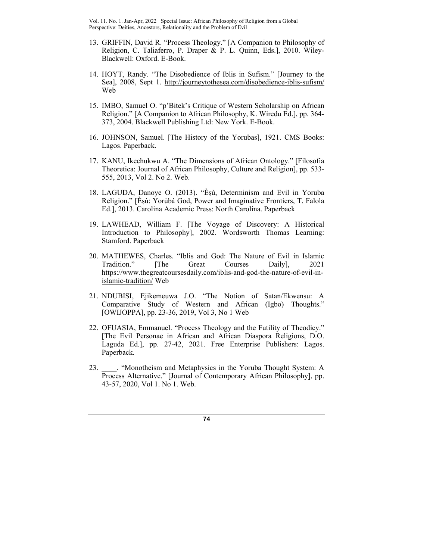- 13. GRIFFIN, David R. "Process Theology." [A Companion to Philosophy of Religion, C. Taliaferro, P. Draper & P. L. Quinn, Eds.], 2010. Wiley-Blackwell: Oxford. E-Book.
- 14. HOYT, Randy. "The Disobedience of Iblis in Sufism." [Journey to the Sea], 2008, Sept 1. http://journeytothesea.com/disobedience-iblis-sufism/ Web
- 15. IMBO, Samuel O. "p'Bitek's Critique of Western Scholarship on African Religion." [A Companion to African Philosophy, K. Wiredu Ed.], pp. 364- 373, 2004. Blackwell Publishing Ltd: New York. E-Book.
- 16. JOHNSON, Samuel. [The History of the Yorubas], 1921. CMS Books: Lagos. Paperback.
- 17. KANU, Ikechukwu A. "The Dimensions of African Ontology." [Filosofia Theoretica: Journal of African Philosophy, Culture and Religion], pp. 533- 555, 2013, Vol 2. No 2. Web.
- 18. LAGUDA, Danoye O. (2013). "Èṣù, Determinism and Evil in Yoruba Religion." [Èṣù: Yorùbá God, Power and Imaginative Frontiers, T. Falola Ed.], 2013. Carolina Academic Press: North Carolina. Paperback
- 19. LAWHEAD, William F. [The Voyage of Discovery: A Historical Introduction to Philosophy], 2002. Wordsworth Thomas Learning: Stamford. Paperback
- 20. MATHEWES, Charles. "Iblis and God: The Nature of Evil in Islamic Tradition." [The Great Courses Daily], 2021 https://www.thegreatcoursesdaily.com/iblis-and-god-the-nature-of-evil-inislamic-tradition/ Web
- 21. NDUBISI, Ejikemeuwa J.O. "The Notion of Satan/Ekwensu: A Comparative Study of Western and African (Igbo) Thoughts." [OWIJOPPA], pp. 23-36, 2019, Vol 3, No 1 Web
- 22. OFUASIA, Emmanuel. "Process Theology and the Futility of Theodicy." [The Evil Personae in African and African Diaspora Religions, D.O. Laguda Ed.], pp. 27-42, 2021. Free Enterprise Publishers: Lagos. Paperback.
- 23. **Wonotheism and Metaphysics in the Yoruba Thought System: A** Process Alternative." [Journal of Contemporary African Philosophy], pp. 43-57, 2020, Vol 1. No 1. Web.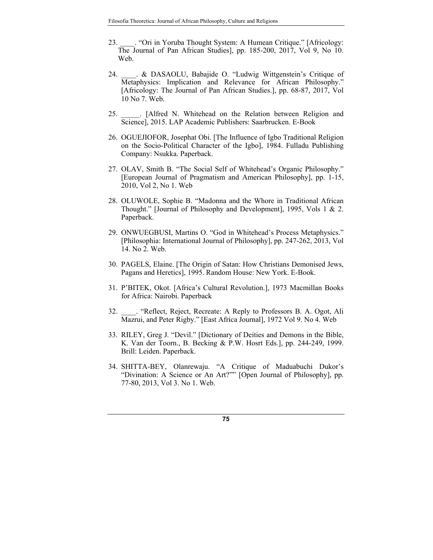- 23. \_\_\_\_. "Ori in Yoruba Thought System: A Humean Critique." [Africology: The Journal of Pan African Studies], pp. 185-200, 2017, Vol 9, No 10. Web.
- 24. A. & DASAOLU, Babajide O. "Ludwig Wittgenstein's Critique of Metaphysics: Implication and Relevance for African Philosophy." [Africology: The Journal of Pan African Studies.], pp. 68-87, 2017, Vol 10 No 7. Web.
- 25. **Alfred N. Whitehead on the Relation between Religion and** Science], 2015. LAP Academic Publishers: Saarbrucken. E-Book
- 26. OGUEJIOFOR, Josephat Obi. [The Influence of Igbo Traditional Religion on the Socio-Political Character of the Igbo], 1984. Fulladu Publishing Company: Nsukka. Paperback.
- 27. OLAV, Smith B. "The Social Self of Whitehead's Organic Philosophy." [European Journal of Pragmatism and American Philosophy], pp. 1-15, 2010, Vol 2, No 1. Web
- 28. OLUWOLE, Sophie B. "Madonna and the Whore in Traditional African Thought." [Journal of Philosophy and Development], 1995, Vols 1 & 2. Paperback.
- 29. ONWUEGBUSI, Martins O. "God in Whitehead's Process Metaphysics." [Philosophia: International Journal of Philosophy], pp. 247-262, 2013, Vol 14. No 2. Web.
- 30. PAGELS, Elaine. [The Origin of Satan: How Christians Demonised Jews, Pagans and Heretics], 1995. Random House: New York. E-Book.
- 31. P'BITEK, Okot. [Africa's Cultural Revolution.], 1973 Macmillan Books for Africa: Nairobi. Paperback
- 32. \_\_\_\_. "Reflect, Reject, Recreate: A Reply to Professors B. A. Ogot, Ali Mazrui, and Peter Rigby." [East Africa Journal], 1972 Vol 9. No 4. Web
- 33. RILEY, Greg J. "Devil." [Dictionary of Deities and Demons in the Bible, K. Van der Toorn., B. Becking & P.W. Hosrt Eds.], pp. 244-249, 1999. Brill: Leiden. Paperback.
- 34. SHITTA-BEY, Olanrewaju. "A Critique of Maduabuchi Dukor's "Divination: A Science or An Art?"" [Open Journal of Philosophy], pp. 77-80, 2013, Vol 3. No 1. Web.